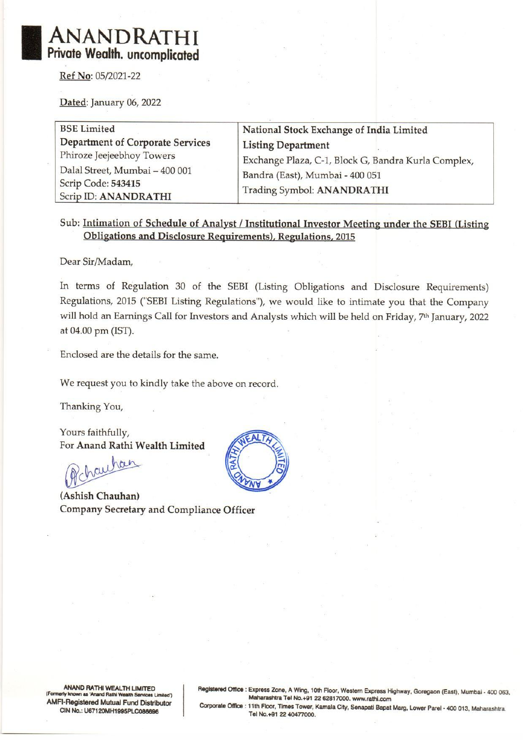# ANANDRATHI Private Wealth. uncomplicated ANANDRATHI<br>
Private Wealth. uncomplicated<br>
Ref No: 05/2021-22<br>
Dated: January 06, 2022

Ref No: 05/2021-22

Dated: January 06, 2022

BSE Limited National Stock Exchange of India Limited Department of Corporate Services Listing Department Phiroze Jeejeebhoy Towers Dalal Street, Mumbai — 400 001 Scrip Code: 543415 Scrip ID: ANANDRATHI Exchange Plaza, C-1, Block G, Bandra Kurla Complex, Bandra (East), Mumbai - 400 051 Trading Symbol: ANANDRATHI

### Sub: Intimation of Schedule of Analyst / Institutional Investor Meeting under the SEBI (Listing Obligations and Disclosure Requirements), Regulations, 2015

Dear Sir/Madam,

In terms of Regulation 30 of the SEBI (Listing Obligations and Disclosure Requirements) Regulations, 2015 ('SEBI Listing Regulations"), we would like to intimate you that the Company will hold an Earnings Call for Investors and Analysts which will be held on Friday, 7<sup>th</sup> January, 2022 at 04.00 pm (IST).

Enclosed are the details for the same.

We request you to kindly take the above on record.

Thanking You,

Yours faithfully, For Anand Rathi Wealth Limited

Achauhan

(Ashish Chauhan) Company Secretary and Compliance Officer



ANAND RATHI WEALTH LIMITED<br>(Formerly known as 'Anand Rathi Wealth Services Limited')<br>AMFI-Registered Mutual Fund Distributor<br>Corporate Office : 11th Floor, Times Tower, Kamala City, Senapati Bapat Marg, Lower Parel - 400 0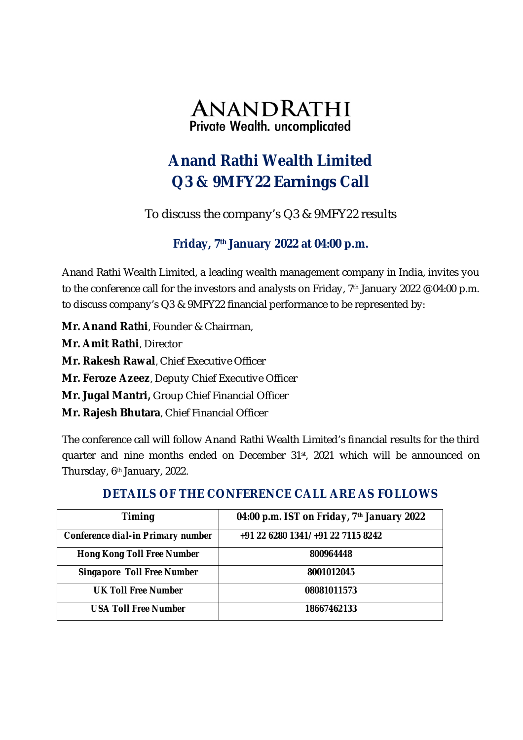

# **Anand Rathi Wealth Limited Q3 & 9MFY22 Earnings Call**

To discuss the company's Q3 & 9MFY22 results

## **Friday, 7th January 2022 at 04:00 p.m.**

Anand Rathi Wealth Limited, a leading wealth management company in India, invites you to the conference call for the investors and analysts on Friday, 7<sup>th</sup> January 2022 @ 04:00 p.m. to discuss company's Q3 & 9MFY22 financial performance to be represented by:

**Mr. Anand Rathi**, Founder & Chairman,

**Mr. Amit Rathi**, Director

**Mr. Rakesh Rawal**, Chief Executive Officer

**Mr. Feroze Azeez**, Deputy Chief Executive Officer

**Mr. Jugal Mantri,** Group Chief Financial Officer

**Mr. Rajesh Bhutara**, Chief Financial Officer

The conference call will follow Anand Rathi Wealth Limited's financial results for the third quarter and nine months ended on December 31<sup>st</sup>, 2021 which will be announced on Thursday, 6th January, 2022.

### **DETAILS OF THE CONFERENCE CALL ARE AS FOLLOWS**

| <b>Timing</b>                     | 04:00 p.m. IST on Friday, 7th January 2022 |
|-----------------------------------|--------------------------------------------|
| Conference dial-in Primary number | +91 22 6280 1341/ +91 22 7115 8242         |
| <b>Hong Kong Toll Free Number</b> | 800964448                                  |
| <b>Singapore Toll Free Number</b> | 8001012045                                 |
| <b>UK Toll Free Number</b>        | 08081011573                                |
| <b>USA Toll Free Number</b>       | 18667462133                                |